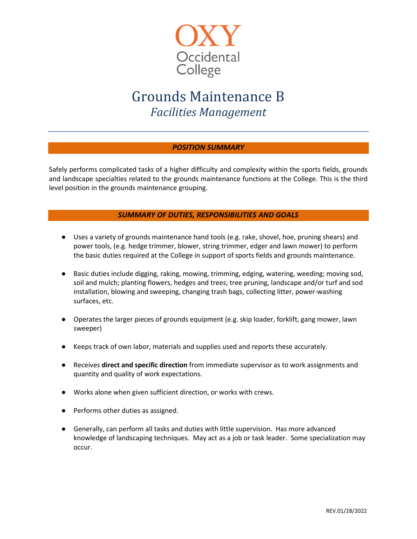

# Grounds Maintenance B *Facilities Management*

## *POSITION SUMMARY*

Safely performs complicated tasks of a higher difficulty and complexity within the sports fields, grounds and landscape specialties related to the grounds maintenance functions at the College. This is the third level position in the grounds maintenance grouping.

### *SUMMARY OF DUTIES, RESPONSIBILITIES AND GOALS*

- Uses a variety of grounds maintenance hand tools (e.g. rake, shovel, hoe, pruning shears) and power tools, (e.g. hedge trimmer, blower, string trimmer, edger and lawn mower) to perform the basic duties required at the College in support of sports fields and grounds maintenance.
- Basic duties include digging, raking, mowing, trimming, edging, watering, weeding; moving sod, soil and mulch; planting flowers, hedges and trees; tree pruning, landscape and/or turf and sod installation, blowing and sweeping, changing trash bags, collecting litter, power-washing surfaces, etc.
- Operates the larger pieces of grounds equipment (e.g. skip loader, forklift, gang mower, lawn sweeper)
- Keeps track of own labor, materials and supplies used and reports these accurately.
- Receives **direct and specific direction** from immediate supervisor as to work assignments and quantity and quality of work expectations.
- Works alone when given sufficient direction, or works with crews.
- Performs other duties as assigned.
- Generally, can perform all tasks and duties with little supervision. Has more advanced knowledge of landscaping techniques. May act as a job or task leader. Some specialization may occur.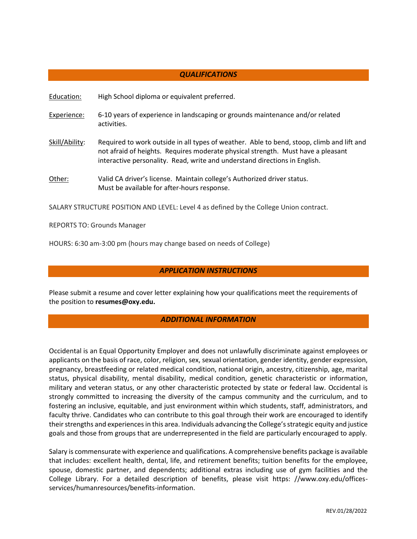#### *QUALIFICATIONS*

Education: High School diploma or equivalent preferred.

- Experience: 6-10 years of experience in landscaping or grounds maintenance and/or related activities.
- Skill/Ability: Required to work outside in all types of weather. Able to bend, stoop, climb and lift and not afraid of heights. Requires moderate physical strength. Must have a pleasant interactive personality. Read, write and understand directions in English.
- Other: Valid CA driver's license. Maintain college's Authorized driver status. Must be available for after-hours response.

SALARY STRUCTURE POSITION AND LEVEL: Level 4 as defined by the College Union contract.

REPORTS TO: Grounds Manager

HOURS: 6:30 am-3:00 pm (hours may change based on needs of College)

#### *APPLICATION INSTRUCTIONS*

Please submit a resume and cover letter explaining how your qualifications meet the requirements of the position to **[resumes@oxy.edu.](mailto:resumes@oxy.edu)** 

#### *ADDITIONAL INFORMATION*

Occidental is an Equal Opportunity Employer and does not unlawfully discriminate against employees or applicants on the basis of race, color, religion, sex, sexual orientation, gender identity, gender expression, pregnancy, breastfeeding or related medical condition, national origin, ancestry, citizenship, age, marital status, physical disability, mental disability, medical condition, genetic characteristic or information, military and veteran status, or any other characteristic protected by state or federal law. Occidental is strongly committed to increasing the diversity of the campus community and the curriculum, and to fostering an inclusive, equitable, and just environment within which students, staff, administrators, and faculty thrive. Candidates who can contribute to this goal through their work are encouraged to identify their strengths and experiences in this area. Individuals advancing the College's strategic equity and justice goals and those from groups that are underrepresented in the field are particularly encouraged to apply.

Salary is commensurate with experience and qualifications. A comprehensive benefits package is available that includes: excellent health, dental, life, and retirement benefits; tuition benefits for the employee, spouse, domestic partner, and dependents; additional extras including use of gym facilities and the College Library. For a detailed description of benefits, please visit https: //www.oxy.edu/officesservices/humanresources/benefits-information.